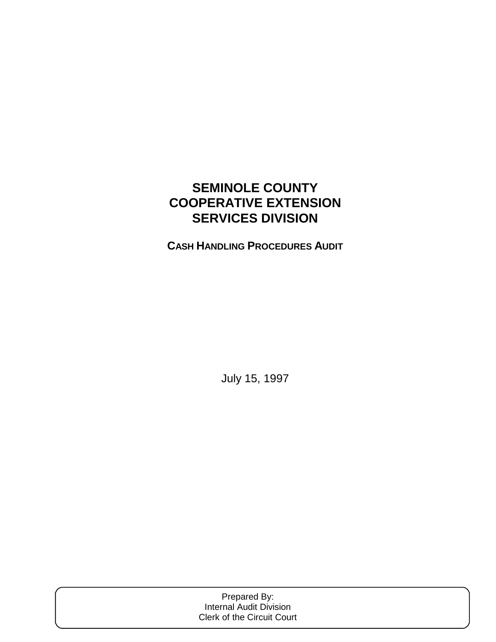# **SEMINOLE COUNTY COOPERATIVE EXTENSION SERVICES DIVISION**

**CASH HANDLING PROCEDURES AUDIT**

July 15, 1997

| Prepared By:                   |  |
|--------------------------------|--|
| <b>Internal Audit Division</b> |  |
| Clerk of the Circuit Court     |  |
|                                |  |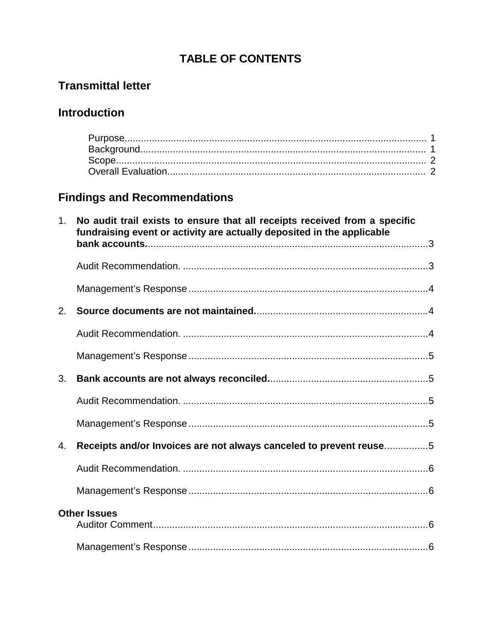# **TABLE OF CONTENTS**

# **Transmittal letter**

## **Introduction**

# **Findings and Recommendations**

| $\mathbf{1}$ . | No audit trail exists to ensure that all receipts received from a specific<br>fundraising event or activity are actually deposited in the applicable |
|----------------|------------------------------------------------------------------------------------------------------------------------------------------------------|
|                |                                                                                                                                                      |
|                |                                                                                                                                                      |
| 2.             |                                                                                                                                                      |
|                |                                                                                                                                                      |
|                |                                                                                                                                                      |
| 3.             |                                                                                                                                                      |
|                |                                                                                                                                                      |
|                |                                                                                                                                                      |
| 4.             | Receipts and/or Invoices are not always canceled to prevent reuse5                                                                                   |
|                |                                                                                                                                                      |
|                |                                                                                                                                                      |
|                | <b>Other Issues</b>                                                                                                                                  |
|                |                                                                                                                                                      |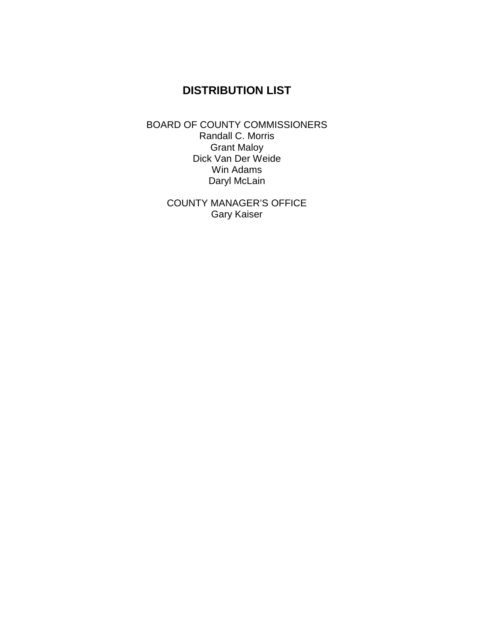## **DISTRIBUTION LIST**

BOARD OF COUNTY COMMISSIONERS Randall C. Morris Grant Maloy Dick Van Der Weide Win Adams Daryl McLain

> COUNTY MANAGER'S OFFICE Gary Kaiser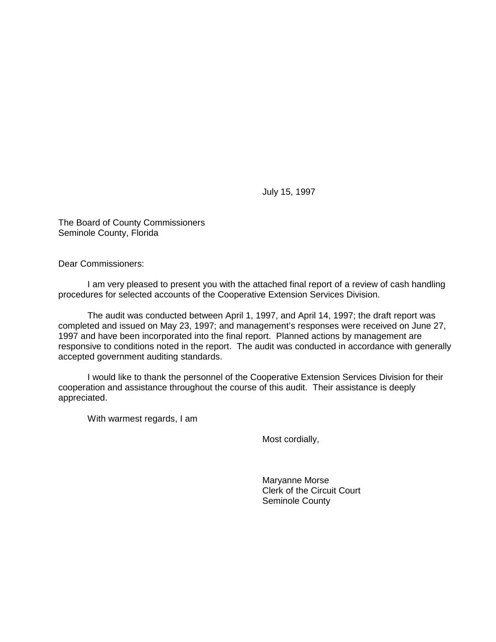July 15, 1997

The Board of County Commissioners Seminole County, Florida

Dear Commissioners:

 I am very pleased to present you with the attached final report of a review of cash handling procedures for selected accounts of the Cooperative Extension Services Division.

 The audit was conducted between April 1, 1997, and April 14, 1997; the draft report was completed and issued on May 23, 1997; and management's responses were received on June 27, 1997 and have been incorporated into the final report. Planned actions by management are responsive to conditions noted in the report. The audit was conducted in accordance with generally accepted government auditing standards.

 I would like to thank the personnel of the Cooperative Extension Services Division for their cooperation and assistance throughout the course of this audit. Their assistance is deeply appreciated.

With warmest regards, I am

Most cordially,

 Maryanne Morse Clerk of the Circuit Court Seminole County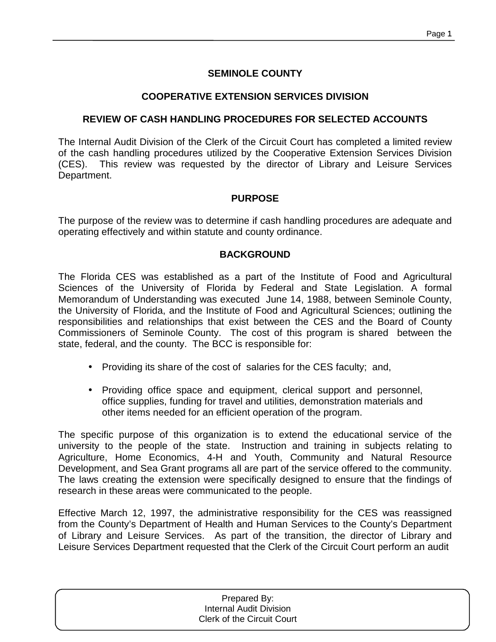## **SEMINOLE COUNTY**

## **COOPERATIVE EXTENSION SERVICES DIVISION**

## **REVIEW OF CASH HANDLING PROCEDURES FOR SELECTED ACCOUNTS**

The Internal Audit Division of the Clerk of the Circuit Court has completed a limited review of the cash handling procedures utilized by the Cooperative Extension Services Division (CES). This review was requested by the director of Library and Leisure Services Department.

## **PURPOSE**

The purpose of the review was to determine if cash handling procedures are adequate and operating effectively and within statute and county ordinance.

## **BACKGROUND**

The Florida CES was established as a part of the Institute of Food and Agricultural Sciences of the University of Florida by Federal and State Legislation. A formal Memorandum of Understanding was executed June 14, 1988, between Seminole County, the University of Florida, and the Institute of Food and Agricultural Sciences; outlining the responsibilities and relationships that exist between the CES and the Board of County Commissioners of Seminole County. The cost of this program is shared between the state, federal, and the county. The BCC is responsible for:

- Providing its share of the cost of salaries for the CES faculty; and,
- Providing office space and equipment, clerical support and personnel, office supplies, funding for travel and utilities, demonstration materials and other items needed for an efficient operation of the program.

The specific purpose of this organization is to extend the educational service of the university to the people of the state. Instruction and training in subjects relating to Agriculture, Home Economics, 4-H and Youth, Community and Natural Resource Development, and Sea Grant programs all are part of the service offered to the community. The laws creating the extension were specifically designed to ensure that the findings of research in these areas were communicated to the people.

Effective March 12, 1997, the administrative responsibility for the CES was reassigned from the County's Department of Health and Human Services to the County's Department of Library and Leisure Services. As part of the transition, the director of Library and Leisure Services Department requested that the Clerk of the Circuit Court perform an audit

| Prepared By:<br><b>Internal Audit Division</b> |  |
|------------------------------------------------|--|
| <b>Clerk of the Circuit Court</b>              |  |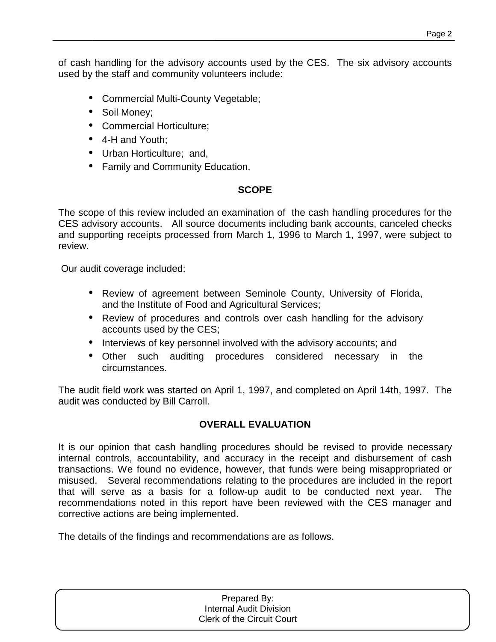of cash handling for the advisory accounts used by the CES. The six advisory accounts used by the staff and community volunteers include:

- Commercial Multi-County Vegetable;
- Soil Money;
- Commercial Horticulture;
- 4-H and Youth;
- Urban Horticulture; and,
- Family and Community Education.

## **SCOPE**

The scope of this review included an examination of the cash handling procedures for the CES advisory accounts. All source documents including bank accounts, canceled checks and supporting receipts processed from March 1, 1996 to March 1, 1997, were subject to review.

Our audit coverage included:

- Review of agreement between Seminole County, University of Florida, and the Institute of Food and Agricultural Services;
- Review of procedures and controls over cash handling for the advisory accounts used by the CES;
- Interviews of key personnel involved with the advisory accounts; and
- Other such auditing procedures considered necessary in the circumstances.

The audit field work was started on April 1, 1997, and completed on April 14th, 1997. The audit was conducted by Bill Carroll.

## **OVERALL EVALUATION**

It is our opinion that cash handling procedures should be revised to provide necessary internal controls, accountability, and accuracy in the receipt and disbursement of cash transactions. We found no evidence, however, that funds were being misappropriated or misused. Several recommendations relating to the procedures are included in the report that will serve as a basis for a follow-up audit to be conducted next year. The recommendations noted in this report have been reviewed with the CES manager and corrective actions are being implemented.

The details of the findings and recommendations are as follows.

| Prepared By:                      |  |
|-----------------------------------|--|
| <b>Internal Audit Division</b>    |  |
| <b>Clerk of the Circuit Court</b> |  |
|                                   |  |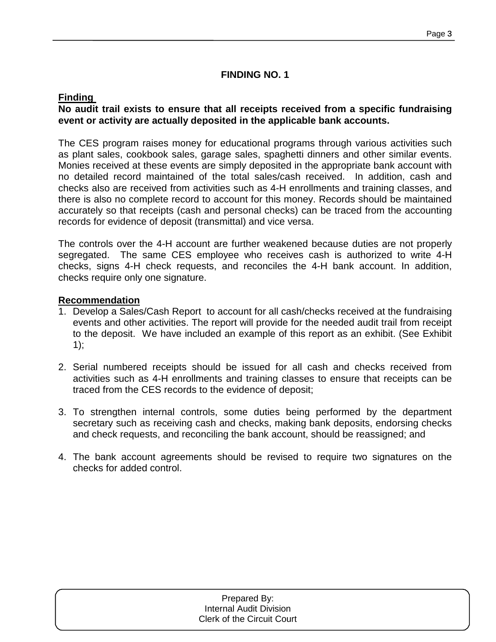## **FINDING NO. 1**

## **Finding**

## **No audit trail exists to ensure that all receipts received from a specific fundraising event or activity are actually deposited in the applicable bank accounts.**

The CES program raises money for educational programs through various activities such as plant sales, cookbook sales, garage sales, spaghetti dinners and other similar events. Monies received at these events are simply deposited in the appropriate bank account with no detailed record maintained of the total sales/cash received. In addition, cash and checks also are received from activities such as 4-H enrollments and training classes, and there is also no complete record to account for this money. Records should be maintained accurately so that receipts (cash and personal checks) can be traced from the accounting records for evidence of deposit (transmittal) and vice versa.

The controls over the 4-H account are further weakened because duties are not properly segregated. The same CES employee who receives cash is authorized to write 4-H checks, signs 4-H check requests, and reconciles the 4-H bank account. In addition, checks require only one signature.

## **Recommendation**

- 1. Develop a Sales/Cash Report to account for all cash/checks received at the fundraising events and other activities. The report will provide for the needed audit trail from receipt to the deposit. We have included an example of this report as an exhibit. (See Exhibit 1);
- 2. Serial numbered receipts should be issued for all cash and checks received from activities such as 4-H enrollments and training classes to ensure that receipts can be traced from the CES records to the evidence of deposit;
- 3. To strengthen internal controls, some duties being performed by the department secretary such as receiving cash and checks, making bank deposits, endorsing checks and check requests, and reconciling the bank account, should be reassigned; and
- 4. The bank account agreements should be revised to require two signatures on the checks for added control.

| Prepared By:                      |
|-----------------------------------|
| Internal Audit Division           |
| <b>Clerk of the Circuit Court</b> |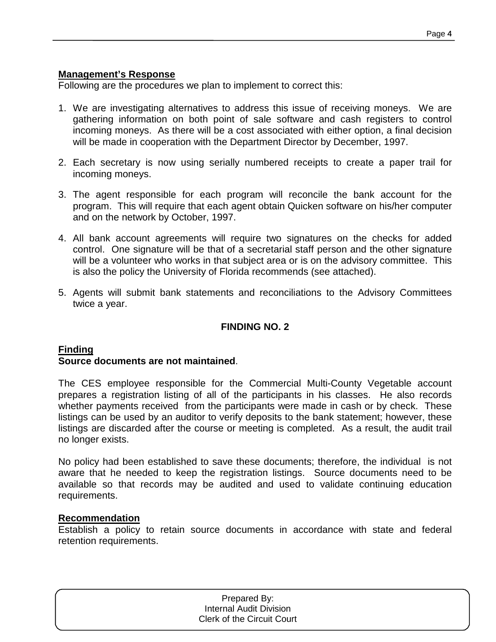#### **Management's Response**

Following are the procedures we plan to implement to correct this:

- 1. We are investigating alternatives to address this issue of receiving moneys. We are gathering information on both point of sale software and cash registers to control incoming moneys. As there will be a cost associated with either option, a final decision will be made in cooperation with the Department Director by December, 1997.
- 2. Each secretary is now using serially numbered receipts to create a paper trail for incoming moneys.
- 3. The agent responsible for each program will reconcile the bank account for the program. This will require that each agent obtain Quicken software on his/her computer and on the network by October, 1997.
- 4. All bank account agreements will require two signatures on the checks for added control. One signature will be that of a secretarial staff person and the other signature will be a volunteer who works in that subject area or is on the advisory committee. This is also the policy the University of Florida recommends (see attached).
- 5. Agents will submit bank statements and reconciliations to the Advisory Committees twice a year.

## **FINDING NO. 2**

## **Finding**

#### **Source documents are not maintained**.

The CES employee responsible for the Commercial Multi-County Vegetable account prepares a registration listing of all of the participants in his classes. He also records whether payments received from the participants were made in cash or by check. These listings can be used by an auditor to verify deposits to the bank statement; however, these listings are discarded after the course or meeting is completed. As a result, the audit trail no longer exists.

No policy had been established to save these documents; therefore, the individual is not aware that he needed to keep the registration listings. Source documents need to be available so that records may be audited and used to validate continuing education requirements.

#### **Recommendation**

Establish a policy to retain source documents in accordance with state and federal retention requirements.

| Prepared By:                      |
|-----------------------------------|
| <b>Internal Audit Division</b>    |
| <b>Clerk of the Circuit Court</b> |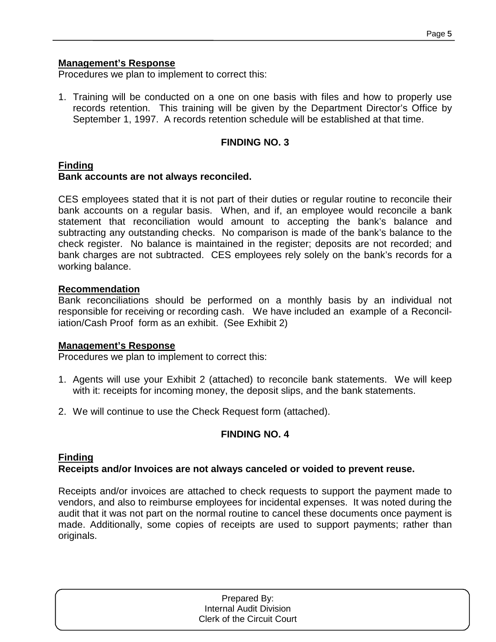## **Management's Response**

Procedures we plan to implement to correct this:

1. Training will be conducted on a one on one basis with files and how to properly use records retention. This training will be given by the Department Director's Office by September 1, 1997. A records retention schedule will be established at that time.

## **FINDING NO. 3**

## **Finding**

## **Bank accounts are not always reconciled.**

CES employees stated that it is not part of their duties or regular routine to reconcile their bank accounts on a regular basis. When, and if, an employee would reconcile a bank statement that reconciliation would amount to accepting the bank's balance and subtracting any outstanding checks. No comparison is made of the bank's balance to the check register. No balance is maintained in the register; deposits are not recorded; and bank charges are not subtracted. CES employees rely solely on the bank's records for a working balance.

## **Recommendation**

Bank reconciliations should be performed on a monthly basis by an individual not responsible for receiving or recording cash. We have included an example of a Reconciliation/Cash Proof form as an exhibit. (See Exhibit 2)

## **Management's Response**

Procedures we plan to implement to correct this:

- 1. Agents will use your Exhibit 2 (attached) to reconcile bank statements. We will keep with it: receipts for incoming money, the deposit slips, and the bank statements.
- 2. We will continue to use the Check Request form (attached).

## **FINDING NO. 4**

## **Finding**

## **Receipts and/or Invoices are not always canceled or voided to prevent reuse.**

Receipts and/or invoices are attached to check requests to support the payment made to vendors, and also to reimburse employees for incidental expenses. It was noted during the audit that it was not part on the normal routine to cancel these documents once payment is made. Additionally, some copies of receipts are used to support payments; rather than originals.

| Prepared By:                      |
|-----------------------------------|
| Internal Audit Division           |
| <b>Clerk of the Circuit Court</b> |
|                                   |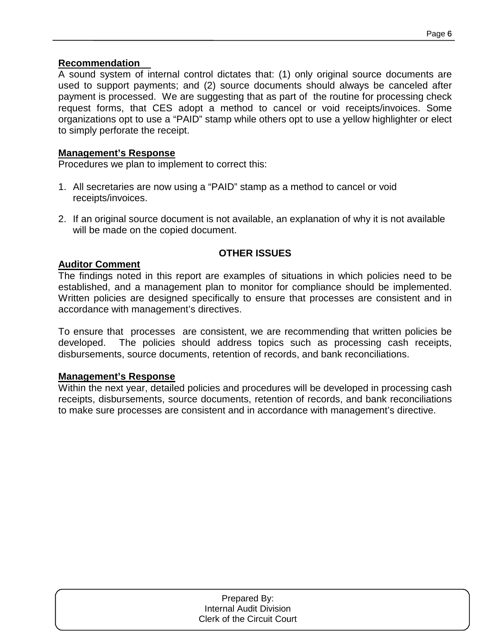## **Recommendation**

A sound system of internal control dictates that: (1) only original source documents are used to support payments; and (2) source documents should always be canceled after payment is processed. We are suggesting that as part of the routine for processing check request forms, that CES adopt a method to cancel or void receipts/invoices. Some organizations opt to use a "PAID" stamp while others opt to use a yellow highlighter or elect to simply perforate the receipt.

## **Management's Response**

Procedures we plan to implement to correct this:

- 1. All secretaries are now using a "PAID" stamp as a method to cancel or void receipts/invoices.
- 2. If an original source document is not available, an explanation of why it is not available will be made on the copied document.

## **OTHER ISSUES**

## **Auditor Comment**

The findings noted in this report are examples of situations in which policies need to be established, and a management plan to monitor for compliance should be implemented. Written policies are designed specifically to ensure that processes are consistent and in accordance with management's directives.

To ensure that processes are consistent, we are recommending that written policies be developed. The policies should address topics such as processing cash receipts, disbursements, source documents, retention of records, and bank reconciliations.

## **Management's Response**

Within the next year, detailed policies and procedures will be developed in processing cash receipts, disbursements, source documents, retention of records, and bank reconciliations to make sure processes are consistent and in accordance with management's directive.

| Prepared By:                      |  |
|-----------------------------------|--|
| <b>Internal Audit Division</b>    |  |
| <b>Clerk of the Circuit Court</b> |  |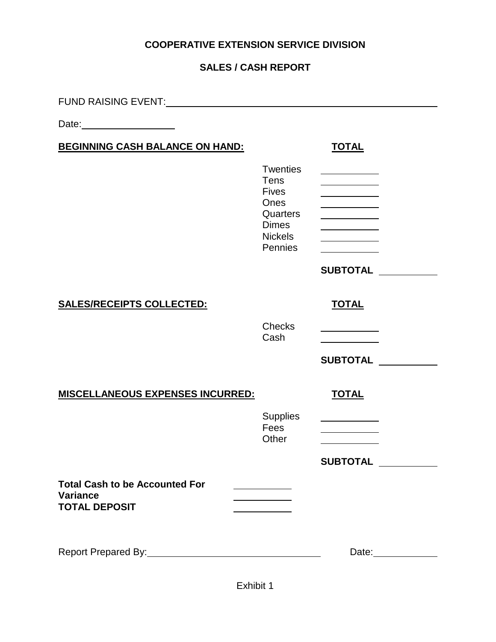## **COOPERATIVE EXTENSION SERVICE DIVISION**

## **SALES / CASH REPORT**

| FUND RAISING EVENT:                                                              |                                                                           |                   |
|----------------------------------------------------------------------------------|---------------------------------------------------------------------------|-------------------|
| Date: _______________________                                                    |                                                                           |                   |
| <b>BEGINNING CASH BALANCE ON HAND:</b>                                           |                                                                           | <b>TOTAL</b>      |
|                                                                                  | <b>Twenties</b><br><b>Tens</b><br><b>Fives</b><br><b>Ones</b><br>Quarters |                   |
|                                                                                  | <b>Dimes</b><br><b>Nickels</b>                                            |                   |
|                                                                                  | Pennies                                                                   |                   |
|                                                                                  |                                                                           | <b>SUBTOTAL</b>   |
| <b>SALES/RECEIPTS COLLECTED:</b>                                                 |                                                                           | <b>TOTAL</b>      |
|                                                                                  | <b>Checks</b><br>Cash                                                     |                   |
|                                                                                  |                                                                           | <b>SUBTOTAL</b>   |
| <b>MISCELLANEOUS EXPENSES INCURRED:</b>                                          |                                                                           | <b>TOTAL</b>      |
|                                                                                  | <b>Supplies</b><br>Fees                                                   |                   |
|                                                                                  | Other                                                                     |                   |
| <b>Total Cash to be Accounted For</b><br><b>Variance</b><br><b>TOTAL DEPOSIT</b> |                                                                           | <b>SUBTOTAL</b>   |
|                                                                                  |                                                                           | Date:____________ |